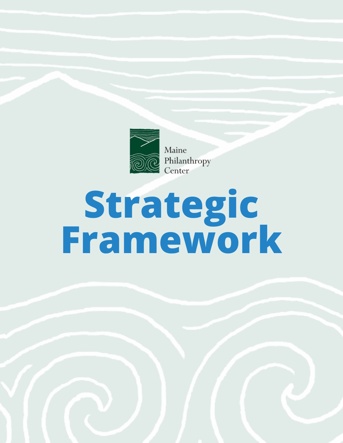

Maine Philanthropy<br>Center

# **Strategic Framework**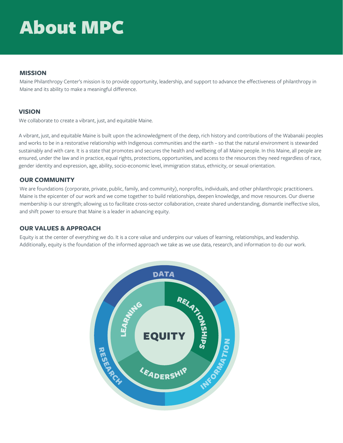# About MPC

#### **MISSION**

Maine Philanthropy Center's mission is to provide opportunity, leadership, and support to advance the effectiveness of philanthropy in Maine and its ability to make a meaningful difference.

### **VISION**

We collaborate to create a vibrant, just, and equitable Maine.

A vibrant, just, and equitable Maine is built upon the acknowledgment of the deep, rich history and contributions of the Wabanaki peoples and works to be in a restorative relationship with Indigenous communities and the earth – so that the natural environment is stewarded sustainably and with care. It is a state that promotes and secures the health and wellbeing of all Maine people. In this Maine, all people are ensured, under the law and in practice, equal rights, protections, opportunities, and access to the resources they need regardless of race, gender identity and expression, age, ability, socio-economic level, immigration status, ethnicity, or sexual orientation.

### **OUR COMMUNITY**

We are foundations (corporate, private, public, family, and community), nonprofits, individuals, and other philanthropic practitioners. Maine is the epicenter of our work and we come together to build relationships, deepen knowledge, and move resources. Our diverse membership is our strength; allowing us to facilitate cross-sector collaboration, create shared understanding, dismantle ineffective silos, and shift power to ensure that Maine is a leader in advancing equity.

#### **OUR VALUES & APPROACH**

Equity is at the center of everything we do. It is a core value and underpins our values of learning, relationships, and leadership. Additionally, equity is the foundation of the informed approach we take as we use data, research, and information to do our work.

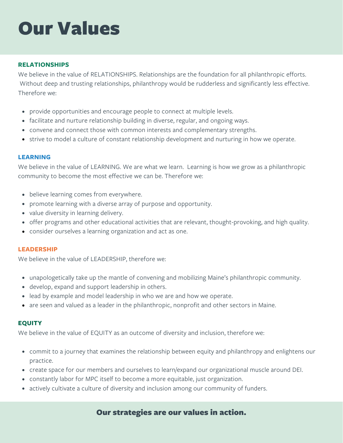# Our Values

### **RELATIONSHIPS**

We believe in the value of RELATIONSHIPS. Relationships are the foundation for all philanthropic efforts. Without deep and trusting relationships, philanthropy would be rudderless and significantly less effective. Therefore we:

- provide opportunities and encourage people to connect at multiple levels.
- facilitate and nurture relationship building in diverse, regular, and ongoing ways.
- convene and connect those with common interests and complementary strengths.
- strive to model a culture of constant relationship development and nurturing in how we operate.

#### **LEARNING**

We believe in the value of LEARNING. We are what we learn. Learning is how we grow as a philanthropic community to become the most effective we can be. Therefore we:

- believe learning comes from everywhere.
- promote learning with a diverse array of purpose and opportunity.
- value diversity in learning delivery.
- offer programs and other educational activities that are relevant, thought-provoking, and high quality.
- consider ourselves a learning organization and act as one.

#### **LEADERSHIP**

We believe in the value of LEADERSHIP, therefore we:

- unapologetically take up the mantle of convening and mobilizing Maine's philanthropic community.
- develop, expand and support leadership in others.
- lead by example and model leadership in who we are and how we operate.
- are seen and valued as a leader in the philanthropic, nonprofit and other sectors in Maine.

#### **EQUITY**

We believe in the value of EQUITY as an outcome of diversity and inclusion, therefore we:

- commit to a journey that examines the relationship between equity and philanthropy and enlightens our practice.
- create space for our members and ourselves to learn/expand our organizational muscle around DEI.
- constantly labor for MPC itself to become a more equitable, just organization.
- actively cultivate a culture of diversity and inclusion among our community of funders.

# Our strategies are our values in action.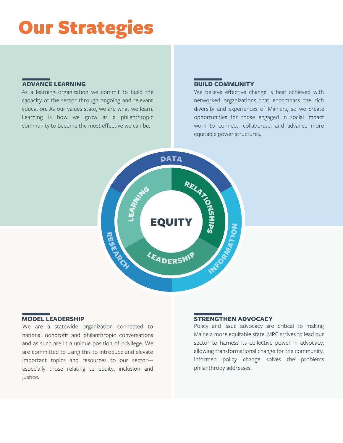# Our Strategies

### **ADVANCE LEARNING BUILD COMMUNITY**

As a learning organization we commit to build the capacity of the sector through ongoing and relevant education. As our values state, we are what we learn. Learning is how we grow as a philanthropic community to become the most effective we can be.

We believe effective change is best achieved with networked organizations that encompass the rich diversity and experiences of Mainers, so we create opportunities for those engaged in social impact work to connect, collaborate, and advance more equitable power structures.



## **MODEL LEADERSHIP**

We are a statewide organization connected to national nonprofit and philanthropic conversations and as such are in a unique position of privilege. We are committed to using this to introduce and elevate important topics and resources to our sector especially those relating to equity, inclusion and justice.

#### **STRENGTHEN ADVOCACY**

Policy and issue advocacy are critical to making Maine a more equitable state. MPC strives to lead our sector to harness its collective power in advocacy, allowing transformational change for the community. Informed policy change solves the problems philanthropy addresses.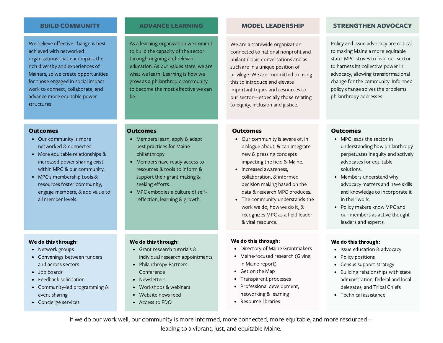We believe effective change is best achieved with networked organizations that encompass the rich diversity and experiences of Mainers, so we create opportunities for those engaged in social impact work to connect, collaborate, and advance more equitable power structures.

#### **Outcomes**

- Our community is more networked & connected.
- More equitable relationships & increased power sharing exist within MPC & our community.
- MPC's membership tools & resources foster community, engage members, & add value to all member levels.

As a learning organization we commit to build the capacity of the sector through ongoing and relevant education. As our values state, we are what we learn. Learning is how we grow as a philanthropic community to become the most effective we can be.

We are a statewide organization connected to national nonprofit and philanthropic conversations and as such are in a unique position of privilege. We are committed to using this to introduce and elevate important topics and resources to our sector—especially those relating to equity, inclusion and justice.

#### BUILD COMMUNITY ADVANCE LEARNING MODEL LEADERSHIP STRENGTHEN ADVOCACY

Policy and issue advocacy are critical to making Maine a more equitable state. MPC strives to lead our sector to harness its collective power in advocacy, allowing transformational change for the community. Informed policy change solves the problems philanthropy addresses.

#### **Outcomes**

- Members learn, apply & adapt best practices for Maine philanthropy.
- Members have ready access to resources & tools to inform & support their grant making & seeking efforts.
- MPC embodies a culture of selfreflection, learning & growth.

#### **Outcomes**

- Our community is aware of, in dialogue about, & can integrate new & pressing concepts impacting the field & Maine.
- Increased awareness, collaboration, & informed decision making based on the data & research MPC produces.
- The community understands the work we do, how we do it, & recognizes MPC as a field leader & vital resource.

#### MPC leads the sector in **Outcomes**

- understanding how philanthropy perpetuates inequity and actively advocates for equitable solutions.
- Members understand why advocacy matters and have skills and knowledge to incorporate it in their work.
- Policy makers know MPC and our members as active thought leaders and experts.

#### We do this through:

- Issue education & advocacy
- Policy positions
- Census support strategy
- Building relationships with state administration, federal and local delegates, and Tribal Chiefs
- Technical assistance

#### We do this through:

- Network groups
- Convenings between funders and across sectors
- Job boards
- Feedback solicitation
- Community-led programming & event sharing
- Concierge services

#### We do this through:

- Grant research tutorials & individual research appointments
- Philanthropy Partners Conference
- Newsletters
- Workshops & webinars
- Website news feed
- Access to FDO
- Directory of Maine Grantmakers
- Maine-focused research (Giving in Maine report)
- Get on the Map

We do this through:

- Transparent processes
- Professional development, networking & learning
- Resource libraries

If we do our work well, our community is more informed, more connected, more equitable, and more resourced --

leading to a vibrant, just, and equitable Maine.